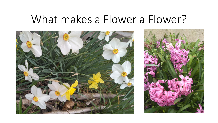## What makes a Flower a Flower?



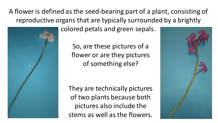A flower is defined as the seed-bearing part of a plant, consisting of reproductive organs that are typically surrounded by a brightly

colored petals and green sepals.

So, are these pictures of a flower or are they pictures of something else?

They are technically pictures of two plants because both pictures also include the stems as well as the flowers.



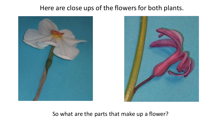## Here are close ups of the flowers for both plants.





So what are the parts that make up a flower?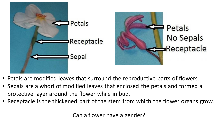

- Petals are modified leaves that surround the reproductive parts of flowers.
- Sepals are a whorl of modified leaves that enclosed the petals and formed a protective layer around the flower while in bud.
- Receptacle is the thickened part of the stem from which the flower organs grow.

Can a flower have a gender?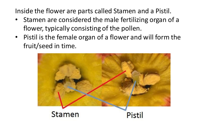Inside the flower are parts called Stamen and a Pistil.

- Stamen are considered the male fertilizing organ of a flower, typically consisting of the pollen.
- Pistil is the female organ of a flower and will form the fruit/seed in time.

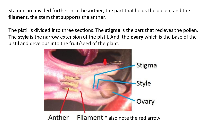Stamen are divided further into the **anther**, the part that holds the pollen, and the **filament**, the stem that supports the anther.

The pistil is divided into three sections. The **stigma** is the part that recieves the pollen. The **style** is the narrow extension of the pistil. And, the **ovary** which is the base of the pistil and develops into the fruit/seed of the plant.



Filament \* also note the red arrow Anther